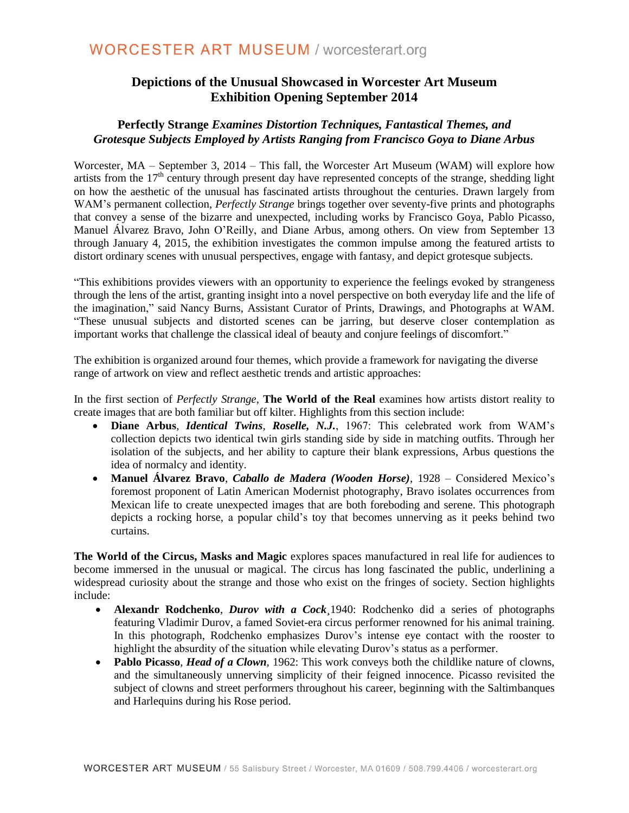## **Depictions of the Unusual Showcased in Worcester Art Museum Exhibition Opening September 2014**

### **Perfectly Strange** *Examines Distortion Techniques, Fantastical Themes, and Grotesque Subjects Employed by Artists Ranging from Francisco Goya to Diane Arbus*

Worcester, MA – September 3, 2014 – This fall, the Worcester Art Museum (WAM) will explore how artists from the  $17<sup>th</sup>$  century through present day have represented concepts of the strange, shedding light on how the aesthetic of the unusual has fascinated artists throughout the centuries. Drawn largely from WAM's permanent collection, *Perfectly Strange* brings together over seventy-five prints and photographs that convey a sense of the bizarre and unexpected, including works by Francisco Goya, Pablo Picasso, Manuel Álvarez Bravo, John O'Reilly, and Diane Arbus, among others. On view from September 13 through January 4, 2015, the exhibition investigates the common impulse among the featured artists to distort ordinary scenes with unusual perspectives, engage with fantasy, and depict grotesque subjects.

"This exhibitions provides viewers with an opportunity to experience the feelings evoked by strangeness through the lens of the artist, granting insight into a novel perspective on both everyday life and the life of the imagination," said Nancy Burns, Assistant Curator of Prints, Drawings, and Photographs at WAM. "These unusual subjects and distorted scenes can be jarring, but deserve closer contemplation as important works that challenge the classical ideal of beauty and conjure feelings of discomfort."

The exhibition is organized around four themes, which provide a framework for navigating the diverse range of artwork on view and reflect aesthetic trends and artistic approaches:

In the first section of *Perfectly Strange*, **The World of the Real** examines how artists distort reality to create images that are both familiar but off kilter. Highlights from this section include:

- **Diane Arbus**, *Identical Twins, Roselle, N.J.*, 1967: This celebrated work from WAM's collection depicts two identical twin girls standing side by side in matching outfits. Through her isolation of the subjects, and her ability to capture their blank expressions, Arbus questions the idea of normalcy and identity.
- **Manuel Álvarez Bravo**, *Caballo de Madera (Wooden Horse)*, 1928 Considered Mexico's foremost proponent of Latin American Modernist photography, Bravo isolates occurrences from Mexican life to create unexpected images that are both foreboding and serene. This photograph depicts a rocking horse, a popular child's toy that becomes unnerving as it peeks behind two curtains.

**The World of the Circus, Masks and Magic** explores spaces manufactured in real life for audiences to become immersed in the unusual or magical. The circus has long fascinated the public, underlining a widespread curiosity about the strange and those who exist on the fringes of society. Section highlights include:

- **Alexandr Rodchenko**, *Durov with a Cock* 1940: Rodchenko did a series of photographs featuring Vladimir Durov, a famed Soviet-era circus performer renowned for his animal training. In this photograph, Rodchenko emphasizes Durov's intense eye contact with the rooster to highlight the absurdity of the situation while elevating Durov's status as a performer.
- **Pablo Picasso**, *Head of a Clown*, 1962: This work conveys both the childlike nature of clowns, and the simultaneously unnerving simplicity of their feigned innocence. Picasso revisited the subject of clowns and street performers throughout his career, beginning with the Saltimbanques and Harlequins during his Rose period.